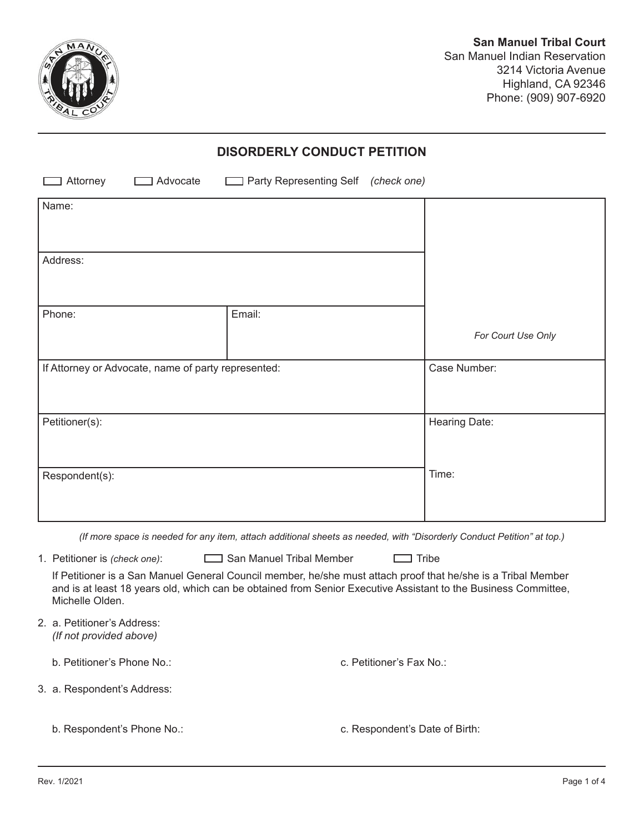

## **DISORDERLY CONDUCT PETITION**

|                                                                                                                                                                                                                                                    | Attorney                                                     | Advocate | Party Representing Self (check one) |                          |                                                                                                                        |
|----------------------------------------------------------------------------------------------------------------------------------------------------------------------------------------------------------------------------------------------------|--------------------------------------------------------------|----------|-------------------------------------|--------------------------|------------------------------------------------------------------------------------------------------------------------|
|                                                                                                                                                                                                                                                    | Name:                                                        |          |                                     |                          |                                                                                                                        |
|                                                                                                                                                                                                                                                    |                                                              |          |                                     |                          |                                                                                                                        |
|                                                                                                                                                                                                                                                    | Address:                                                     |          |                                     |                          |                                                                                                                        |
|                                                                                                                                                                                                                                                    |                                                              |          |                                     |                          |                                                                                                                        |
|                                                                                                                                                                                                                                                    | Phone:                                                       |          | Email:                              |                          |                                                                                                                        |
|                                                                                                                                                                                                                                                    |                                                              |          |                                     |                          | For Court Use Only                                                                                                     |
| If Attorney or Advocate, name of party represented:                                                                                                                                                                                                |                                                              |          |                                     |                          | Case Number:                                                                                                           |
|                                                                                                                                                                                                                                                    |                                                              |          |                                     |                          |                                                                                                                        |
| Petitioner(s):                                                                                                                                                                                                                                     |                                                              |          |                                     |                          | Hearing Date:                                                                                                          |
|                                                                                                                                                                                                                                                    |                                                              |          |                                     |                          |                                                                                                                        |
| Respondent(s):                                                                                                                                                                                                                                     |                                                              |          |                                     |                          | Time:                                                                                                                  |
|                                                                                                                                                                                                                                                    |                                                              |          |                                     |                          |                                                                                                                        |
|                                                                                                                                                                                                                                                    |                                                              |          |                                     |                          | (If more space is needed for any item, attach additional sheets as needed, with "Disorderly Conduct Petition" at top.) |
| San Manuel Tribal Member<br>$\exists$ Tribe<br>1. Petitioner is (check one):                                                                                                                                                                       |                                                              |          |                                     |                          |                                                                                                                        |
| If Petitioner is a San Manuel General Council member, he/she must attach proof that he/she is a Tribal Member<br>and is at least 18 years old, which can be obtained from Senior Executive Assistant to the Business Committee,<br>Michelle Olden. |                                                              |          |                                     |                          |                                                                                                                        |
|                                                                                                                                                                                                                                                    | 2. a. Petitioner's Address:<br>(If not provided above)       |          |                                     |                          |                                                                                                                        |
|                                                                                                                                                                                                                                                    | b. Petitioner's Phone No.:                                   |          |                                     | c. Petitioner's Fax No.: |                                                                                                                        |
| 3. a. Respondent's Address:                                                                                                                                                                                                                        |                                                              |          |                                     |                          |                                                                                                                        |
|                                                                                                                                                                                                                                                    | b. Respondent's Phone No.:<br>c. Respondent's Date of Birth: |          |                                     |                          |                                                                                                                        |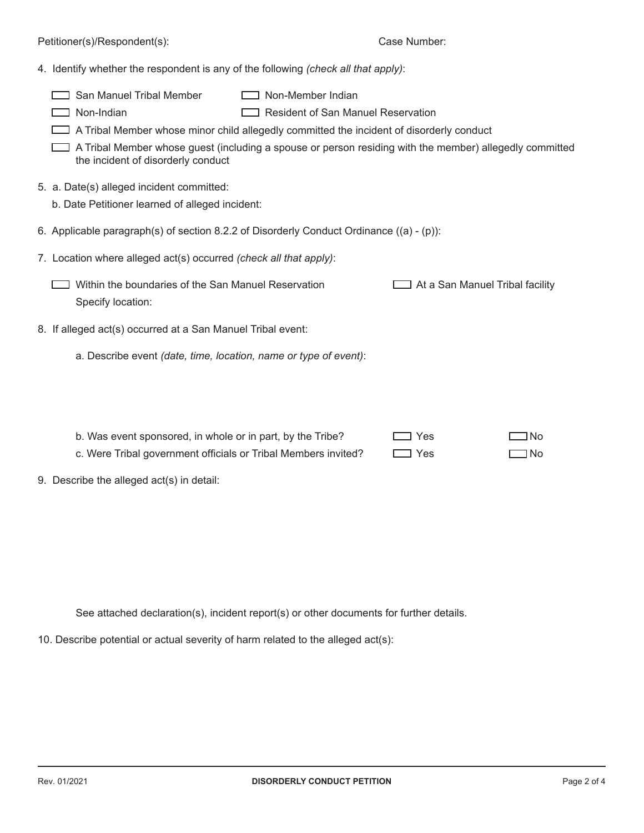Petitioner(s)/Respondent(s): Case Number: 4. Identify whether the respondent is any of the following *(check all that apply)*: San Manuel Tribal Member  $\Box$  Non-Member Indian  $\Box$  Non-Indian Resident of San Manuel Reservation A Tribal Member whose minor child allegedly committed the incident of disorderly conduct A Tribal Member whose guest (including a spouse or person residing with the member) allegedly committed the incident of disorderly conduct 5. a. Date(s) alleged incident committed: b. Date Petitioner learned of alleged incident: 6. Applicable paragraph(s) of section 8.2.2 of Disorderly Conduct Ordinance ((a) - (p)): 7. Location where alleged act(s) occurred *(check all that apply)*: Within the boundaries of the San Manuel Reservation At a San Manuel Tribal facility Specify location: 8. If alleged act(s) occurred at a San Manuel Tribal event: a. Describe event *(date, time, location, name or type of event)*: b. Was event sponsored, in whole or in part, by the Tribe? Yes  $\neg$ No Yes  $\Box$ No ┍ c. Were Tribal government officials or Tribal Members invited? 9. Describe the alleged act(s) in detail:

See attached declaration(s), incident report(s) or other documents for further details.

10. Describe potential or actual severity of harm related to the alleged act(s):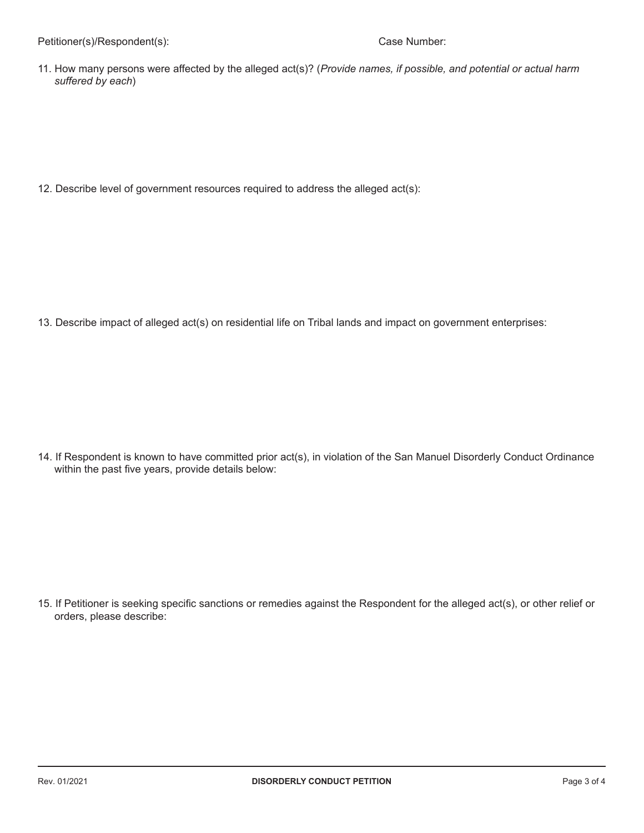Petitioner(s)/Respondent(s): Case Number:

11. How many persons were affected by the alleged act(s)? (*Provide names, if possible, and potential or actual harm suffered by each*)

12. Describe level of government resources required to address the alleged act(s):

13. Describe impact of alleged act(s) on residential life on Tribal lands and impact on government enterprises:

 within the past five years, provide details below: 14. If Respondent is known to have committed prior act(s), in violation of the San Manuel Disorderly Conduct Ordinance

 15. If Petitioner is seeking specific sanctions or remedies against the Respondent for the alleged act(s), or other relief or orders, please describe: